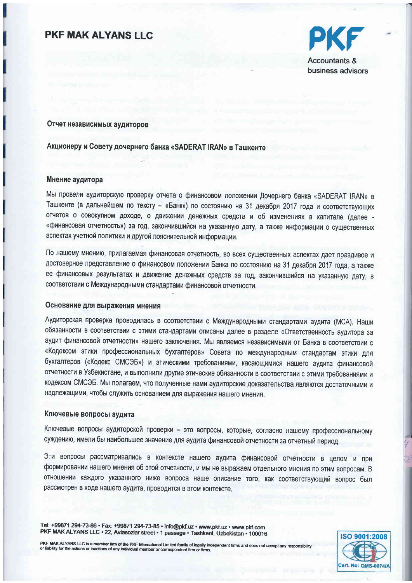### **PKF MAK ALYANS LLC**



**Accountants &** business advisors

#### Отчет независимых аудиторов

### Акционеру и Совету дочернего банка «SADERAT IRAN» в Ташкенте

#### Мнение аудитора

Мы провели аудиторскую проверку отчета о финансовом положении Дочернего банка «SADERAT IRAN» в Ташкенте (в дальнейшем по тексту - «Банк») по состоянию на 31 декабря 2017 года и соответствующих отчетов о совокупном доходе, о движении денежных средств и об изменениях в капитале (далее «финансовая отчетность») за год, закончившийся на указанную дату, а также информации о существенных аспектах учетной политики и другой пояснительной информации.

По нашему мнению, прилагаемая финансовая отчетность, во всех существенных аспектах дает правдивое и достоверное представление о финансовом положении Банка по состоянию на 31 декабря 2017 года, а также ее финансовых результатах и движение денежных средств за год, закончившийся на указанную дату, в соответствии с Международными стандартами финансовой отчетности.

### Основание для выражения мнения

Аудиторская проверка проводилась в соответствии с Международными стандартами аудита (МСА). Наши обязанности в соответствии с этими стандартами описаны далее в разделе «Ответственность аудитора за аудит финансовой отчетности» нашего заключения. Мы являемся независимыми от Банка в соответствии с «Кодексом этики профессиональных бухгалтеров» Совета по международным стандартам этики для бухгалтеров («Кодекс СМСЭБ») и этическими требованиями, касающимися нашего аудита финансовой отчетности в Узбекистане, и выполнили другие этические обязанности в соответствии с этими требованиями и кодексом СМСЭБ. Мы полагаем, что полученные нами аудиторские доказательства являются достаточными и надлежащими, чтобы служить основанием для выражения нашего мнения.

#### Ключевые вопросы аудита

Ключевые вопросы аудиторской проверки - это вопросы, которые, согласно нашему профессиональному суждению, имели бы наибольшее значение для аудита финансовой отчетности за отчетный период.

Эти вопросы рассматривались в контексте нашего аудита финансовой отчетности в целом и при формировании нашего мнения об этой отчетности, и мы не выражаем отдельного мнения по этим вопросам. В отношении каждого указанного ниже вопроса наше описание того, как соответствующий вопрос был рассмотрен в ходе нашего аудита, проводится в этом контексте.

Tel: +99871 294-73-86 · Fax: +99871 294-73-85 · info@pkf.uz · www.pkf.uz · www.pkf.com PKF MAK ALYANS LLC · 22, Aviasozlar street · 1 passage · Tashkent, Uzbekistan · 100016

PKF MAK ALYANS LLC is a member firm of the PKF International Limited family of legally independent firms and does not accept any respons or liability for the actions or inactions of any individual member or correspondent firm or firms

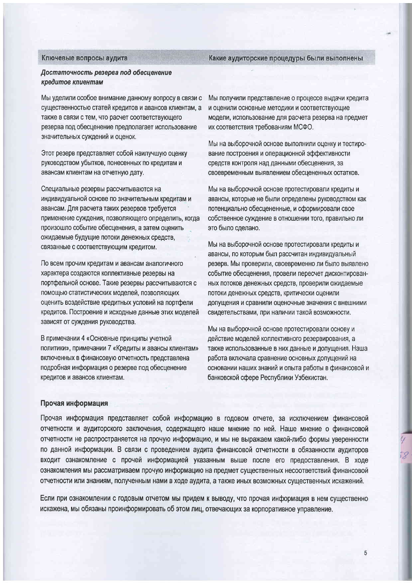#### Ключевые вопросы аудита

Какие аудиторские процедуры были выполнены

#### Достаточность резерва под обесценение кредитов клиентам

Мы уделили особое внимание данному вопросу в связи с существенностью статей кредитов и авансов клиентам, а также в связи с тем, что расчет соответствующего резерва под обесценение предполагает использование значительных суждений и оценок.

Этот резерв представляет собой наилучшую оценку руководством убытков, понесенных по кредитам и авансам клиентам на отчетную дату.

Специальные резервы рассчитываются на индивидуальной основе по значительным кредитам и авансам. Для расчета таких резервов требуется применение суждения, позволяющего определить, когда произошло событие обесценения, а затем оценить ожидаемые будущие потоки денежных средств, связанные с соответствующим кредитом.

По всем прочим кредитам и авансам аналогичного характера создаются коллективные резервы на портфельной основе. Такие резервы рассчитываются с помощью статистических моделей, позволяющих оценить воздействие кредитных условий на портфели кредитов. Построение и исходные данные этих моделей зависят от суждения руководства.

В примечании 4 «Основные принципы учетной политики», примечании 7 «Кредиты и авансы клиентам» включенных в финансовую отчетность представлена подробная информация о резерве под обесценение кредитов и авансов клиентам.

Мы получили представление о процессе выдачи кредита и оценили основные методики и соответствующие модели, использование для расчета резерва на предмет их соответствия требованиям МСФО.

Мы на выборочной основе выполнили оценку и тестирование построения и операционной эффективности средств контроля над данными обесценения, за своевременным выявлением обесцененных остатков.

Мы на выборочной основе протестировали кредиты и авансы, которые не были определены руководством как потенциально обесцененные, и сформировали свое собственное суждение в отношении того, правильно ли это было сделано.

Мы на выборочной основе протестировали кредиты и авансы, по которым был рассчитан индивидуальный резерв. Мы проверили, своевременно ли было выявлено событие обесценения, провели пересчет дисконтированных потоков денежных средств, проверили ожидаемые потоки денежных средств, критически оценили допущения и сравнили оценочные значения с внешними свидетельствами, при наличии такой возможности.

Мы на выборочной основе протестировали основу и действие моделей коллективного резервирования, а также использованные в них данные и допущения. Наша работа включала сравнение основных допущений на основании наших знаний и опыта работы в финансовой и банковской сфере Республики Узбекистан.

#### Прочая информация

Прочая информация представляет собой информацию в годовом отчете, за исключением финансовой отчетности и аудиторского заключения, содержащего наше мнение по ней. Наше мнение о финансовой отчетности не распространяется на прочую информацию, и мы не выражаем какой-либо формы уверенности по данной информации. В связи с проведением аудита финансовой отчетности в обязанности аудиторов входит ознакомление с прочей информацией указанным выше после его предоставления. В ходе ознакомления мы рассматриваем прочую информацию на предмет существенных несоответствий финансовой отчетности или знаниям, полученным нами в ходе аудита, а также иных возможных существенных искажений.

Если при ознакомлении с годовым отчетом мы придем к выводу, что прочая информация в нем существенно искажена, мы обязаны проинформировать об этом лиц, отвечающих за корпоративное управление.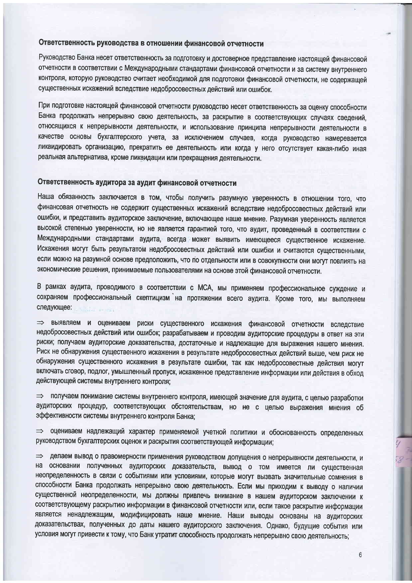#### Ответственность руководства в отношении финансовой отчетности

Руководство Банка несет ответственность за подготовку и достоверное представление настоящей финансовой отчетности в соответствии с Международными стандартами финансовой отчетности и за систему внутреннего контроля, которую руководство считает необходимой для подготовки финансовой отчетности, не содержащей существенных искажений вследствие недобросовестных действий или ошибок.

При подготовке настоящей финансовой отчетности руководство несет ответственность за оценку способности Банка продолжать непрерывно свою деятельность, за раскрытие в соответствующих случаях сведений, относящихся к непрерывности деятельности, и использование принципа непрерывности деятельности в качестве основы бухгалтерского учета, за исключением случаев, когда руководство намеревается ликвидировать организацию, прекратить ее деятельность или когда у него отсутствует какая-либо иная реальная альтернатива, кроме ликвидации или прекращения деятельности.

#### Ответственность аудитора за аудит финансовой отчетности

Наша обязанность заключается в том, чтобы получить разумную уверенность в отношении того, что финансовая отчетность не содержит существенных искажений вследствие недобросовестных действий или ошибки, и представить аудиторское заключение, включающее наше мнение. Разумная уверенность является высокой степенью уверенности, но не является гарантией того, что аудит, проведенный в соответствии с Международными стандартами аудита, всегда может выявить имеющееся существенное искажение. Искажения могут быть результатом недобросовестных действий или ошибки и считаются существенными, если можно на разумной основе предположить, что по отдельности или в совокупности они могут повлиять на экономические решения, принимаемые пользователями на основе этой финансовой отчетности.

В рамках аудита, проводимого в соответствии с МСА, мы применяем профессиональное суждение и сохраняем профессиональный скептицизм на протяжении всего аудита. Кроме того, мы выполняем следующее:

=> выявляем и оцениваем риски существенного искажения финансовой отчетности вследствие недобросовестных действий или ошибок; разрабатываем и проводим аудиторские процедуры в ответ на эти риски; получаем аудиторские доказательства, достаточные и надлежащие для выражения нашего мнения. Риск не обнаружения существенного искажения в результате недобросовестных действий выше, чем риск не обнаружения существенного искажения в результате ошибки, так как недобросовестные действия могут включать сговор, подлог, умышленный пропуск, искаженное представление информации или действия в обход действующей системы внутреннего контроля;

> получаем понимание системы внутреннего контроля, имеющей значение для аудита, с целью разработки аудиторских процедур, соответствующих обстоятельствам, но не с целью выражения мнения об эффективности системы внутреннего контроля Банка;

⇒ оцениваем надлежащий характер применяемой учетной политики и обоснованность определенных руководством бухгалтерских оценок и раскрытия соответствующей информации;

⇒ делаем вывод о правомерности применения руководством допущения о непрерывности деятельности, и на основании полученных аудиторских доказательств, вывод о том имеется ли существенная неопределенность в связи с событиями или условиями, которые могут вызвать значительные сомнения в способности Банка продолжать непрерывно свою деятельность. Если мы приходим к выводу о наличии существенной неопределенности, мы должны привлечь внимание в нашем аудиторском заключении к соответствующему раскрытию информации в финансовой отчетности или, если такое раскрытие информации является ненадлежащим, модифицировать наше мнение. Наши выводы основаны на аудиторских доказательствах, полученных до даты нашего аудиторского заключения. Однако, будущие события или условия могут привести к тому, что Банк утратит способность продолжать непрерывно свою деятельность;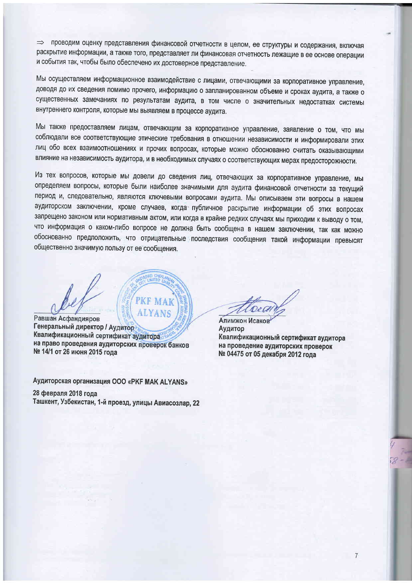проводим оценку представления финансовой отчетности в целом, ее структуры и содержания, включая  $\Rightarrow$ раскрытие информации, а также того, представляет ли финансовая отчетность лежащие в ее основе операции и события так, чтобы было обеспечено их достоверное представление.

Мы осуществляем информационное взаимодействие с лицами, отвечающими за корпоративное управление, доводя до их сведения помимо прочего, информацию о запланированном объеме и сроках аудита, а также о существенных замечаниях по результатам аудита, в том числе о значительных недостатках системы внутреннего контроля, которые мы выявляем в процессе аудита.

Мы также предоставляем лицам, отвечающим за корпоративное управление, заявление о том, что мы соблюдали все соответствующие этические требования в отношении независимости и информировали этих лиц обо всех взаимоотношениях и прочих вопросах, которые можно обоснованно считать оказывающими влияние на независимость аудитора, и в необходимых случаях о соответствующих мерах предосторожности.

Из тех вопросов, которые мы довели до сведения лиц, отвечающих за корпоративное управление, мы определяем вопросы, которые были наиболее значимыми для аудита финансовой отчетности за текущий период и, следовательно, являются ключевыми вопросами аудита. Мы описываем эти вопросы в нашем аудиторском заключении, кроме случаев, когда публичное раскрытие информации об этих вопросах запрещено законом или нормативным актом, или когда в крайне редких случаях мы приходим к выводу о том, что информация о каком-либо вопросе не должна быть сообщена в нашем заключении, так как можно обоснованно предположить, что отрицательные последствия сообщения такой информации превысят общественно значимую пользу от ее сообщения.

**ALYANS** Равшан Асфандияров Генеральный директор / Аудитор Квалификационный сертификат аудитора на право проведения аудиторских проверок банков № 14/1 от 26 июня 2015 года

**PKF MAK** 

Аудиторская организация ООО «РКF MAK ALYANS» 28 февраля 2018 года Ташкент, Узбекистан, 1-й проезд, улицы Авиасозлар, 22

Алимжон Исаков Аудитор Квалификационный сертификат аудитора на проведение аудиторских проверок № 04475 от 05 декабря 2012 года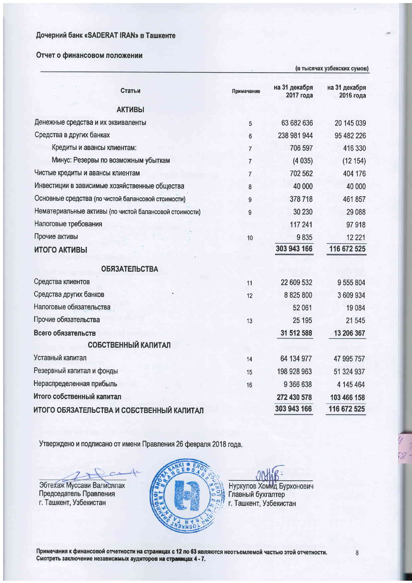### Отчет о финансовом положении

(в тысячах узбекских сумов)

| Статьи                                                 | Примечание     | на 31 декабря<br>2017 года | на 31 декабря<br>2016 года |
|--------------------------------------------------------|----------------|----------------------------|----------------------------|
| <b>АКТИВЫ</b>                                          |                |                            |                            |
| Денежные средства и их эквиваленты                     | 5              | 63 682 636                 | 20 145 039                 |
| Средства в других банках                               | 6              | 238 981 944                | 95 482 226                 |
| Кредиты и авансы клиентам:                             | $\overline{7}$ | 706 597                    | 416 330                    |
| Минус: Резервы по возможным убыткам                    | $\overline{7}$ | (4035)                     | (12154)                    |
| Чистые кредиты и авансы клиентам                       | $\overline{7}$ | 702 562                    | 404 176                    |
| Инвестиции в зависимые хозяйственные общества          | 8              | 40 000                     | 40 000                     |
| Основные средства (по чистой балансовой стоимости)     | 9              | 378718                     | 461857                     |
| Нематериальные активы (по чистой балансовой стоимости) | 9              | 30 230                     | 29 088                     |
| Налоговые требования                                   |                | 117 241                    | 97918                      |
| Прочие активы                                          | 10             | 9835                       | 12 2 2 1                   |
| ИТОГО АКТИВЫ                                           |                | 303 943 166                | 116 672 525                |
| <b>ОБЯЗАТЕЛЬСТВА</b>                                   |                |                            |                            |
| Средства клиентов                                      | 11             | 22 609 532                 | 9 555 804                  |
| Средства других банков                                 | 12             | 8 825 800                  | 3 609 934                  |
| Налоговые обязательства                                |                | 52 061                     | 19 0 84                    |
| Прочие обязательства                                   | 13             | 25 195                     | 21 545                     |
| Всего обязательств                                     |                | 31 512 588                 | 13 206 367                 |
| <b>СОБСТВЕННЫЙ КАПИТАЛ</b>                             |                |                            |                            |
| Уставный капитал                                       | 14             | 64 134 977                 | 47 995 757                 |
| Резервный капитал и фонды                              | 15             | 198 928 963                | 51 324 937                 |
| Нераспределенная прибыль                               | 16             | 9 366 638                  | 4 145 464                  |
| Итого собственный капитал                              |                | 272 430 578                | 103 466 158                |
| ИТОГО ОБЯЗАТЕЛЬСТВА И СОБСТВЕННЫЙ КАПИТАЛ              |                | 303 943 166                | 116 672 525                |

Утверждено и подписано от имени Правления 26 февраля 2018 года.

 $\sim$ Эбтехаж Муссави Валиоллах Председатель Правления г. Ташкент, Узбекистан



Нуркулов Хомид Бурхонович<br>Главный бухгалтер<br>г. Ташкент, Узбекистан

Примечания к финансовой отчетности на страницах с 12 по 63 являются неотъемлемой частью этой отчетности. Смотреть заключение независимых аудиторов на страницах 4 - 7.

 $\overline{8}$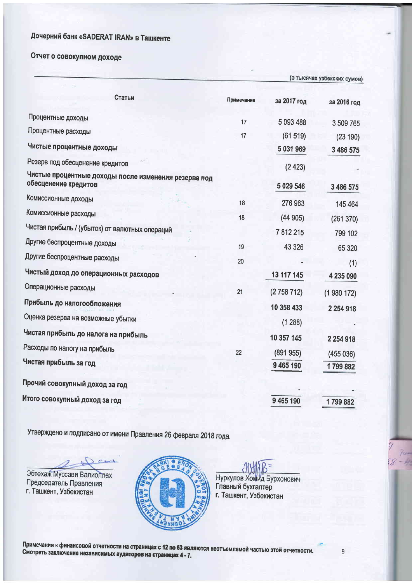# Отчет о совокупном доходе

|                                                                              |            | (в тысячах узбекских сумов) |                     |
|------------------------------------------------------------------------------|------------|-----------------------------|---------------------|
| Статьи                                                                       | Примечание | за 2017 год                 | за 2016 год         |
| Процентные доходы                                                            | 17         | 5 093 488                   | 3 509 765           |
| Процентные расходы                                                           | 17         | (61519)                     | (23 190)            |
| Чистые процентные доходы                                                     |            | 5 031 969                   | 3 486 575           |
| Резерв под обесценение кредитов                                              |            | (2423)                      |                     |
| Чистые процентные доходы после изменения резерва под<br>обесценение кредитов |            | 5 0 29 5 46                 | 3 486 575           |
| Комиссионные доходы                                                          | 18         | 276 963                     | 145 464             |
| Комиссионные расходы                                                         | 18         | (44905)                     | (261370)            |
| Чистая прибыль / (убыток) от валютных операций                               |            | 7812215                     | 799 102             |
| Другие беспроцентные доходы                                                  | 19         | 43 3 26                     | 65 3 20             |
| Другие беспроцентные расходы                                                 | 20         |                             | (1)                 |
| Чистый доход до операционных расходов                                        |            | 13 117 145                  | 4 235 090           |
| Операционные расходы                                                         | 21         | (2758712)                   | (1980172)           |
| Прибыль до налогообложения                                                   |            | 10 358 433                  | 2 2 5 4 9 1 8       |
| Оценка резерва на возможные убытки                                           |            | (1288)                      |                     |
| Чистая прибыль до налога на прибыль                                          |            | 10 357 145                  |                     |
| Расходы по налогу на прибыль                                                 | 22         |                             | 2 2 5 4 9 1 8       |
| Чистая прибыль за год                                                        |            | (891955)<br>9 465 190       | (455036)<br>1799882 |
| Прочий совокупный доход за год                                               |            |                             |                     |
| Итого совокупный доход за год                                                |            | 9 465 190                   | 1799882             |
|                                                                              |            |                             |                     |

Утверждено и подписано от имени Правления 26 февраля 2018 года.

Эбтехаж Муссави Валиоллах Председатель Правления г. Ташкент, Узбекистан



Нуркулов Хомид Бурхонович Главный бухгалтер г. Ташкент, Узбекистан

Примечания к финансовой отчетности на страницах с 12 по 63 являются неотъемлемой частью этой отчетности. Смотреть заключение независимых аудиторов на страницах 4 - 7.

 $\overline{9}$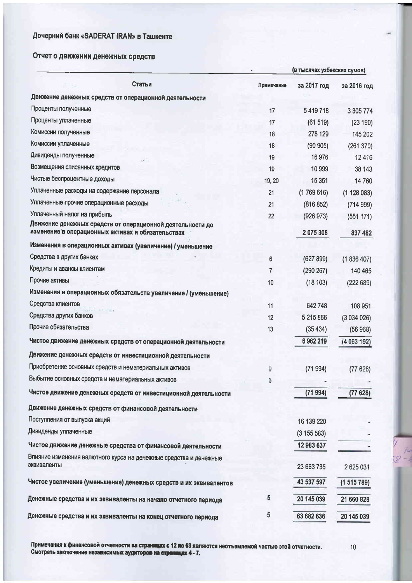# Отчет о движении денежных средств

|                                                                                                                | (в тысячах узбекских сумов) |             |             |  |
|----------------------------------------------------------------------------------------------------------------|-----------------------------|-------------|-------------|--|
| Статьи                                                                                                         | Примечание                  | за 2017 год | за 2016 год |  |
| Движение денежных средств от операционной деятельности                                                         |                             |             |             |  |
| Проценты полученные                                                                                            | 17                          | 5419718     | 3 305 774   |  |
| Проценты уплаченные                                                                                            | 17                          | (61519)     | (23 190)    |  |
| Комиссии полученные                                                                                            | 18                          | 278 129     | 145 202     |  |
| Комиссии уплаченные                                                                                            | 18                          | (90905)     | (261370)    |  |
| Дивиденды полученные                                                                                           | 19                          | 16976       | 12416       |  |
| Возмещения списанных кредитов                                                                                  | 19                          | 10 999      | 38 143      |  |
| Чистые беспроцентные доходы                                                                                    | 19, 20                      | 15 3 51     | 14760       |  |
| Уплаченные расходы на содержание персонала                                                                     | 21                          | (1769616)   | (1128083)   |  |
| Уплаченные прочие операционные расходы                                                                         | 21                          | (816 852)   | (714999)    |  |
| Уплаченный налог на прибыль                                                                                    | 22                          | (926973)    | (551 171)   |  |
| Движение денежных средств от операционной деятельности до<br>изменение в операционных активах и обязательствах |                             | 2075308     | 837 482     |  |
| Изменения в операционных активах (увеличение) / уменьшение                                                     |                             |             |             |  |
| Средства в других банках                                                                                       | 6                           | (627899)    | (1836407)   |  |
| Кредиты и авансы клиентам                                                                                      | $\overline{7}$              | (290 267)   | 140 465     |  |
| Прочие активы                                                                                                  | 10                          | (18103)     | (222689)    |  |
| Изменения в операционных обязательств увеличение / (уменьшение)                                                |                             |             |             |  |
| Средства клиентов                                                                                              | 11                          | 642748      | 108 951     |  |
| Средства других банков                                                                                         | 12                          | 5 215 866   | (3034026)   |  |
| Прочие обязательства                                                                                           | 13                          | (35434)     | (56968)     |  |
| Чистое движение денежных средств от операционной деятельности                                                  |                             | 6962219     | (4063192)   |  |
| Движение денежных средств от инвестиционной деятельности                                                       |                             |             |             |  |
| Приобретение основных средств и нематериальных активов                                                         | 9                           | (71994)     | (77628)     |  |
| Выбытие основных средств и нематериальных активов                                                              | 9                           |             |             |  |
| Чистое движение денежных средств от инвестиционной деятельности                                                |                             | (71994)     | (77628)     |  |
| Движение денежных средств от финансовой деятельности                                                           |                             |             |             |  |
| Поступления от выпуска акций                                                                                   |                             | 16 139 220  |             |  |
| Дивиденды уплаченные                                                                                           |                             | (3155583)   |             |  |
| Чистое движение денежные средства от финансовой деятельности                                                   |                             | 12 983 637  |             |  |
| Влияние изменения валютного курса на денежные средства и денежные                                              |                             |             |             |  |
| эквиваленты                                                                                                    |                             | 23 663 735  | 2625031     |  |
| Чистое увеличение (уменьшение) денежных средств и их эквивалентов                                              |                             | 43 537 597  | (1515789)   |  |
| Денежные средства и их эквиваленты на начало отчетного периода                                                 | 5                           | 20 145 039  | 21 660 828  |  |
| Денежные средства и их эквиваленты на конец отчетного периода                                                  | 5                           | 63 682 636  | 20 145 039  |  |

Примечания к финансовой отчетност<mark>и на страницах с 12 по 63 яв</mark>ляются неотъемлемой частью этой отчетности.<br>Смотреть заключение независимых а<mark>удиторов на страницах 4 -</mark> 7.

 $10$ 

 $\frac{74}{8}$